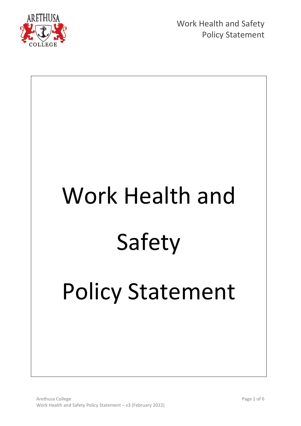

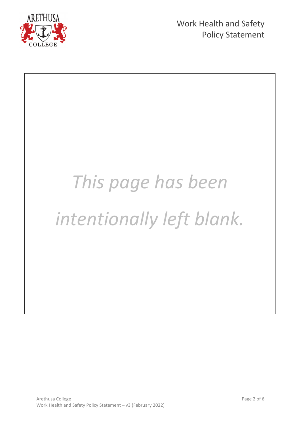

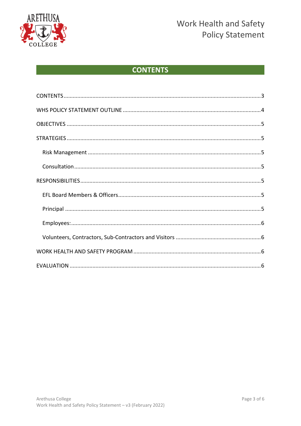

# **CONTENTS**

<span id="page-2-0"></span>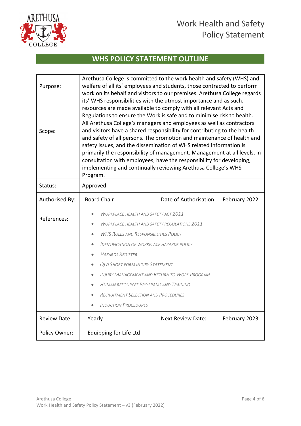

# **WHS POLICY STATEMENT OUTLINE**

<span id="page-3-0"></span>

| Purpose:<br>Scope: | Arethusa College is committed to the work health and safety (WHS) and<br>welfare of all its' employees and students, those contracted to perform<br>work on its behalf and visitors to our premises. Arethusa College regards<br>its' WHS responsibilities with the utmost importance and as such,<br>resources are made available to comply with all relevant Acts and<br>Regulations to ensure the Work is safe and to minimise risk to health.<br>All Arethusa College's managers and employees as well as contractors<br>and visitors have a shared responsibility for contributing to the health<br>and safety of all persons. The promotion and maintenance of health and<br>safety issues, and the dissemination of WHS related information is<br>primarily the responsibility of management. Management at all levels, in<br>consultation with employees, have the responsibility for developing,<br>implementing and continually reviewing Arethusa College's WHS<br>Program. |                          |               |  |
|--------------------|----------------------------------------------------------------------------------------------------------------------------------------------------------------------------------------------------------------------------------------------------------------------------------------------------------------------------------------------------------------------------------------------------------------------------------------------------------------------------------------------------------------------------------------------------------------------------------------------------------------------------------------------------------------------------------------------------------------------------------------------------------------------------------------------------------------------------------------------------------------------------------------------------------------------------------------------------------------------------------------|--------------------------|---------------|--|
| Status:            | Approved                                                                                                                                                                                                                                                                                                                                                                                                                                                                                                                                                                                                                                                                                                                                                                                                                                                                                                                                                                               |                          |               |  |
| Authorised By:     | <b>Board Chair</b>                                                                                                                                                                                                                                                                                                                                                                                                                                                                                                                                                                                                                                                                                                                                                                                                                                                                                                                                                                     | Date of Authorisation    | February 2022 |  |
| References:        | WORKPLACE HEALTH AND SAFETY ACT 2011<br><b>WORKPLACE HEALTH AND SAFETY REGULATIONS 2011</b><br><b>WHS ROLES AND RESPONSIBILITIES POLICY</b><br><b>IDENTIFICATION OF WORKPLACE HAZARDS POLICY</b><br><b>HAZARDS REGISTER</b><br><b>QLD SHORT FORM INJURY STATEMENT</b><br><b>INJURY MANAGEMENT AND RETURN TO WORK PROGRAM</b><br>HUMAN RESOURCES PROGRAMS AND TRAINING<br>RECRUITMENT SELECTION AND PROCEDURES<br><b>INDUCTION PROCEDURES</b>                                                                                                                                                                                                                                                                                                                                                                                                                                                                                                                                           |                          |               |  |
| Review Date:       | Yearly                                                                                                                                                                                                                                                                                                                                                                                                                                                                                                                                                                                                                                                                                                                                                                                                                                                                                                                                                                                 | <b>Next Review Date:</b> | February 2023 |  |
| Policy Owner:      | Equipping for Life Ltd                                                                                                                                                                                                                                                                                                                                                                                                                                                                                                                                                                                                                                                                                                                                                                                                                                                                                                                                                                 |                          |               |  |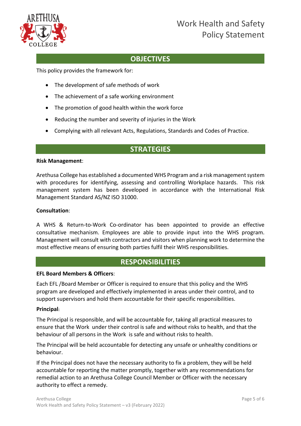

# **OBJECTIVES**

<span id="page-4-0"></span>This policy provides the framework for:

- The development of safe methods of work
- The achievement of a safe working environment
- The promotion of good health within the work force
- Reducing the number and severity of injuries in the Work
- Complying with all relevant Acts, Regulations, Standards and Codes of Practice.

## **STRATEGIES**

#### <span id="page-4-2"></span><span id="page-4-1"></span>**Risk Management**:

Arethusa College has established a documented WHS Program and a risk management system with procedures for identifying, assessing and controlling Workplace hazards. This risk management system has been developed in accordance with the International Risk Management Standard AS/NZ ISO 31000.

#### <span id="page-4-3"></span>**Consultation**:

A WHS & Return-to-Work Co-ordinator has been appointed to provide an effective consultative mechanism. Employees are able to provide input into the WHS program. Management will consult with contractors and visitors when planning work to determine the most effective means of ensuring both parties fulfil their WHS responsibilities.

### **RESPONSIBILITIES**

#### <span id="page-4-5"></span><span id="page-4-4"></span>**EFL Board Members & Officers**:

Each EFL /Board Member or Officer is required to ensure that this policy and the WHS program are developed and effectively implemented in areas under their control, and to support supervisors and hold them accountable for their specific responsibilities.

#### <span id="page-4-6"></span>**Principal:**

The Principal is responsible, and will be accountable for, taking all practical measures to ensure that the Work under their control is safe and without risks to health, and that the behaviour of all persons in the Work is safe and without risks to health.

The Principal will be held accountable for detecting any unsafe or unhealthy conditions or behaviour.

If the Principal does not have the necessary authority to fix a problem, they will be held accountable for reporting the matter promptly, together with any recommendations for remedial action to an Arethusa College Council Member or Officer with the necessary authority to effect a remedy.